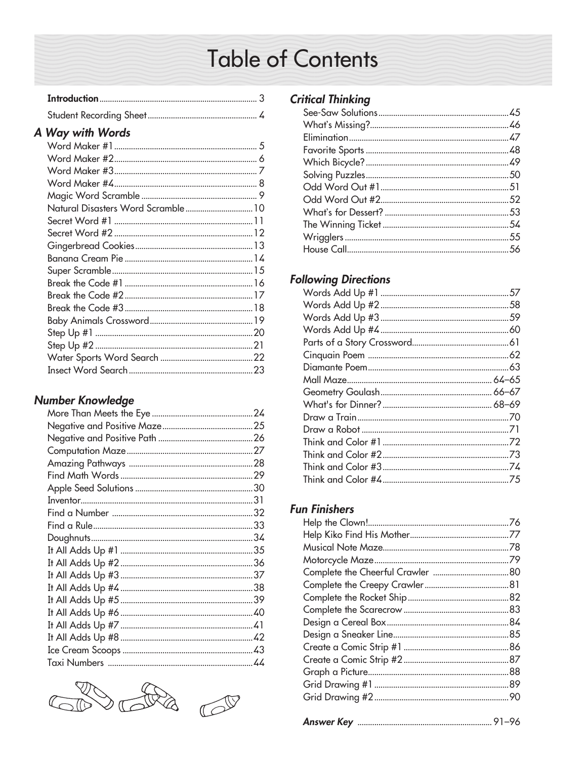# **Table of Contents**

### A Way with Words

| Natural Disasters Word Scramble 10 |  |
|------------------------------------|--|
|                                    |  |
|                                    |  |
|                                    |  |
|                                    |  |
|                                    |  |
|                                    |  |
|                                    |  |
|                                    |  |
|                                    |  |
|                                    |  |
|                                    |  |
|                                    |  |
|                                    |  |

### **Number Knowledge**



### **Critical Thinking**

### **Following Directions**

## **Fun Finishers**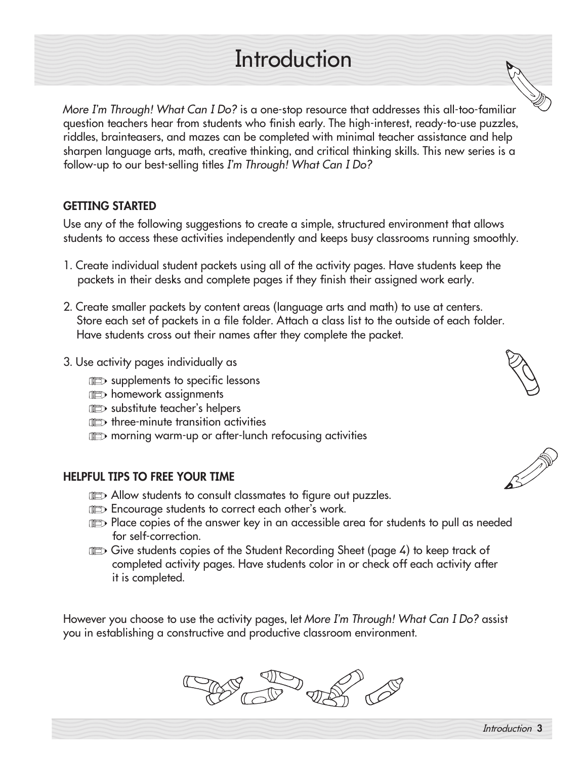## **Introduction**

*More I'm Through! What Can I Do?* is a one-stop resource that addresses this all-too-familiar question teachers hear from students who finish early. The high-interest, ready-to-use puzzles, riddles, brainteasers, and mazes can be completed with minimal teacher assistance and help sharpen language arts, math, creative thinking, and critical thinking skills. This new series is a follow-up to our best-selling titles *I'm Through! What Can I Do?*

### **GETTING STARTED**

Use any of the following suggestions to create a simple, structured environment that allows students to access these activities independently and keeps busy classrooms running smoothly.

- 1. Create individual student packets using all of the activity pages. Have students keep the packets in their desks and complete pages if they finish their assigned work early.
- 2. Create smaller packets by content areas (language arts and math) to use at centers. Store each set of packets in a file folder. Attach a class list to the outside of each folder. Have students cross out their names after they complete the packet.
- 3. Use activity pages individually as
	- $\Box$  supplements to specific lessons
	- **ID** homework assignments
	- substitute teacher's helpers
	- **10** three-minute transition activities
	- **ID** morning warm-up or after-lunch refocusing activities

#### **HELPFUL TIPS TO FREE YOUR TIME**

- **ID** Allow students to consult classmates to figure out puzzles.
- **Encourage students to correct each other's work.**
- **Place copies of the answer key in an accessible area for students to pull as needed**  for self-correction.
- Give students copies of the Student Recording Sheet (page 4) to keep track of completed activity pages. Have students color in or check off each activity after it is completed.

However you choose to use the activity pages, let *More I'm Through! What Can I Do?* assist you in establishing a constructive and productive classroom environment.





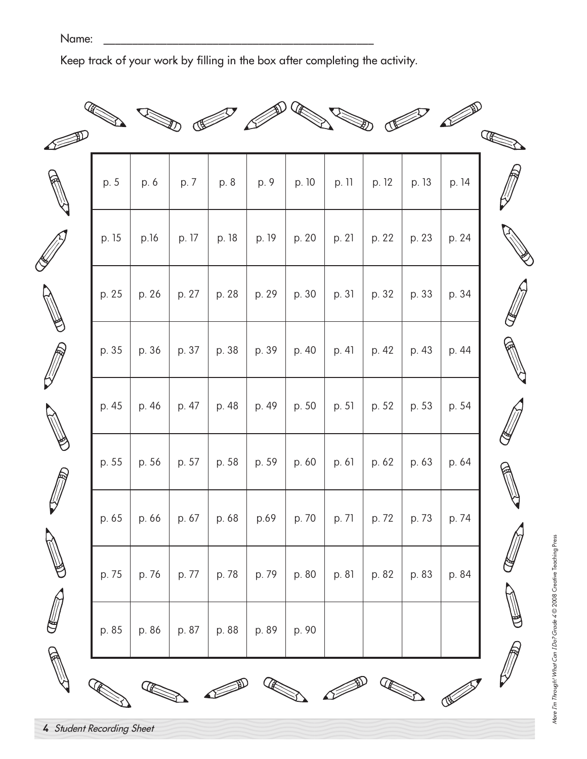Name:

Keep track of your work by filling in the box after completing the activity.

| B             | <b>CONTRACTOR</b> |       | <b>DESCRIPTION</b> |       | <b>CONTROLLED</b> | $\mathbb{Z}^N$ |       | $\begin{picture}(120,10) \put(0,0){\line(1,0){10}} \put(15,0){\line(1,0){10}} \put(15,0){\line(1,0){10}} \put(15,0){\line(1,0){10}} \put(15,0){\line(1,0){10}} \put(15,0){\line(1,0){10}} \put(15,0){\line(1,0){10}} \put(15,0){\line(1,0){10}} \put(15,0){\line(1,0){10}} \put(15,0){\line(1,0){10}} \put(15,0){\line(1,0){10}} \put(15,0){\line($ |       | <b>CONTROLLED</b> | N            |
|---------------|-------------------|-------|--------------------|-------|-------------------|----------------|-------|-----------------------------------------------------------------------------------------------------------------------------------------------------------------------------------------------------------------------------------------------------------------------------------------------------------------------------------------------------|-------|-------------------|--------------|
| A             | p. 5              | p. 6  | p. 7               | p. 8  | p. 9              | p. 10          | p. 11 | p. 12                                                                                                                                                                                                                                                                                                                                               | p. 13 | p. 14             |              |
| $\mathscr{L}$ | p. 15             | p.16  | p. 17              | p. 18 | p. 19             | p. 20          | p. 21 | p. 22                                                                                                                                                                                                                                                                                                                                               | p. 23 | p. 24             | A March 1999 |
|               | p. 25             | p. 26 | p. 27              | p. 28 | p. 29             | p. 30          | p. 31 | p. 32                                                                                                                                                                                                                                                                                                                                               | p. 33 | p. 34             | $\mathbb{P}$ |
|               | p. 35             | p. 36 | p. 37              | p. 38 | p. 39             | p. 40          | p. 41 | p. 42                                                                                                                                                                                                                                                                                                                                               | p. 43 | p. 44             | J            |
| <b>Allen</b>  | p. 45             | p. 46 | p. 47              | p. 48 | p. 49             | p. 50          | p. 51 | p. 52                                                                                                                                                                                                                                                                                                                                               | p. 53 | p. 54             |              |
|               | p. 55             | p. 56 | p. 57              | p. 58 | p. 59             | p. 60          | p.61  | p. 62                                                                                                                                                                                                                                                                                                                                               | p. 63 | p. 64             | A            |
|               | p. 65             | p. 66 | p. 67              | p. 68 | p.69              | p. 70          | p. 71 | p. 72                                                                                                                                                                                                                                                                                                                                               | p. 73 | p. 74             |              |
|               | p. 75             | p. 76 | p. 77              | p. 78 | p. 79             | p. 80          | p. 81 | p. 82                                                                                                                                                                                                                                                                                                                                               | p. 83 | p. 84             |              |
| CON CONTINENT | p. 85             | p. 86 | p. 87              | p. 88 | p. 89             | p. 90          |       |                                                                                                                                                                                                                                                                                                                                                     |       |                   |              |
| $\mathbb{R}$  |                   |       |                    |       |                   |                |       |                                                                                                                                                                                                                                                                                                                                                     |       |                   |              |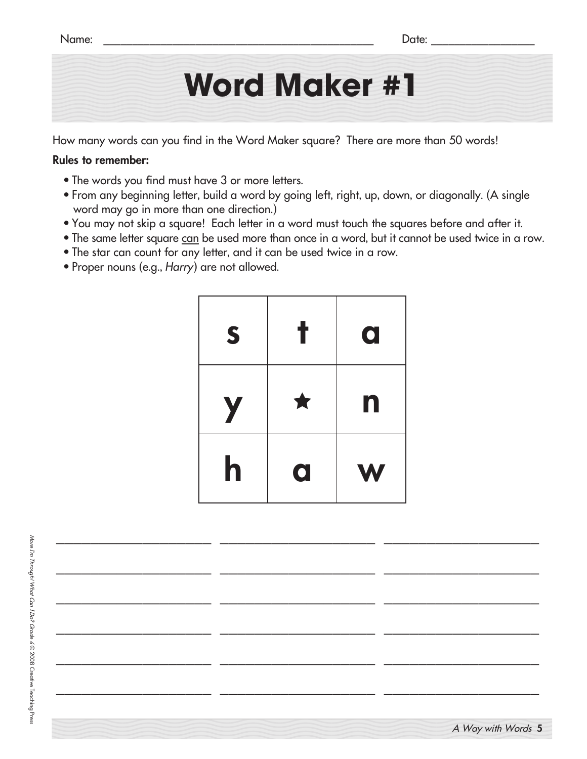# **Word Maker #1**

How many words can you find in the Word Maker square? There are more than 50 words!

### **Rules to remember:**

- The words you find must have 3 or more letters.
- From any beginning letter, build a word by going left, right, up, down, or diagonally. (A single word may go in more than one direction.)
- • You may not skip a square! Each letter in a word must touch the squares before and after it.
- The same letter square can be used more than once in a word, but it cannot be used twice in a row.
- The star can count for any letter, and it can be used twice in a row.
- • Proper nouns (e.g., *Harry*) are not allowed.

| S                                           | Ť | a |
|---------------------------------------------|---|---|
| Y                                           | ★ | n |
| $\mathsf{h}% _{1}\left( t_{1},t_{2}\right)$ | a | W |

\_\_\_\_\_\_\_\_\_\_\_\_\_\_\_\_\_\_ \_\_\_\_\_\_\_\_\_\_\_\_\_\_\_\_\_\_ \_\_\_\_\_\_\_\_\_\_\_\_\_\_\_\_\_\_

\_\_\_\_\_\_\_\_\_\_\_\_\_\_\_\_\_\_ \_\_\_\_\_\_\_\_\_\_\_\_\_\_\_\_\_\_ \_\_\_\_\_\_\_\_\_\_\_\_\_\_\_\_\_\_

\_\_\_\_\_\_\_\_\_\_\_\_\_\_\_\_\_\_ \_\_\_\_\_\_\_\_\_\_\_\_\_\_\_\_\_\_ \_\_\_\_\_\_\_\_\_\_\_\_\_\_\_\_\_\_

\_\_\_\_\_\_\_\_\_\_\_\_\_\_\_\_\_\_ \_\_\_\_\_\_\_\_\_\_\_\_\_\_\_\_\_\_ \_\_\_\_\_\_\_\_\_\_\_\_\_\_\_\_\_\_

\_\_\_\_\_\_\_\_\_\_\_\_\_\_\_\_\_\_ \_\_\_\_\_\_\_\_\_\_\_\_\_\_\_\_\_\_ \_\_\_\_\_\_\_\_\_\_\_\_\_\_\_\_\_\_

\_\_\_\_\_\_\_\_\_\_\_\_\_\_\_\_\_\_ \_\_\_\_\_\_\_\_\_\_\_\_\_\_\_\_\_\_ \_\_\_\_\_\_\_\_\_\_\_\_\_\_\_\_\_\_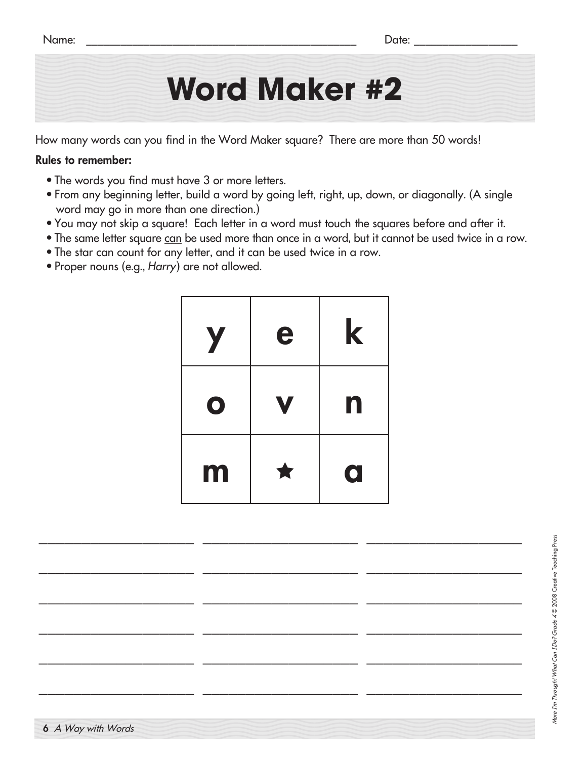#### Name: \_\_\_\_\_\_\_\_\_\_\_\_\_\_\_\_\_\_\_\_\_\_\_\_\_\_\_\_\_\_\_\_\_\_\_\_\_\_\_\_\_\_\_\_\_\_\_ Date: \_\_\_\_\_\_\_\_\_\_\_\_\_\_\_\_\_\_

# **Word Maker #2**

How many words can you find in the Word Maker square? There are more than 50 words!

#### **Rules to remember:**

- The words you find must have 3 or more letters.
- From any beginning letter, build a word by going left, right, up, down, or diagonally. (A single word may go in more than one direction.)
- • You may not skip a square! Each letter in a word must touch the squares before and after it.
- The same letter square can be used more than once in a word, but it cannot be used twice in a row.
- The star can count for any letter, and it can be used twice in a row.
- • Proper nouns (e.g., *Harry*) are not allowed.

| Y           | e               | $\mathbf k$ |
|-------------|-----------------|-------------|
| $\mathbf O$ | V               | n           |
| $\mathbf m$ | $\blacklozenge$ | a           |

\_\_\_\_\_\_\_\_\_\_\_\_\_\_\_\_\_\_ \_\_\_\_\_\_\_\_\_\_\_\_\_\_\_\_\_\_ \_\_\_\_\_\_\_\_\_\_\_\_\_\_\_\_\_\_

\_\_\_\_\_\_\_\_\_\_\_\_\_\_\_\_\_\_ \_\_\_\_\_\_\_\_\_\_\_\_\_\_\_\_\_\_ \_\_\_\_\_\_\_\_\_\_\_\_\_\_\_\_\_\_

\_\_\_\_\_\_\_\_\_\_\_\_\_\_\_\_\_\_ \_\_\_\_\_\_\_\_\_\_\_\_\_\_\_\_\_\_ \_\_\_\_\_\_\_\_\_\_\_\_\_\_\_\_\_\_

\_\_\_\_\_\_\_\_\_\_\_\_\_\_\_\_\_\_ \_\_\_\_\_\_\_\_\_\_\_\_\_\_\_\_\_\_ \_\_\_\_\_\_\_\_\_\_\_\_\_\_\_\_\_\_

\_\_\_\_\_\_\_\_\_\_\_\_\_\_\_\_\_\_ \_\_\_\_\_\_\_\_\_\_\_\_\_\_\_\_\_\_ \_\_\_\_\_\_\_\_\_\_\_\_\_\_\_\_\_\_

\_\_\_\_\_\_\_\_\_\_\_\_\_\_\_\_\_\_ \_\_\_\_\_\_\_\_\_\_\_\_\_\_\_\_\_\_ \_\_\_\_\_\_\_\_\_\_\_\_\_\_\_\_\_\_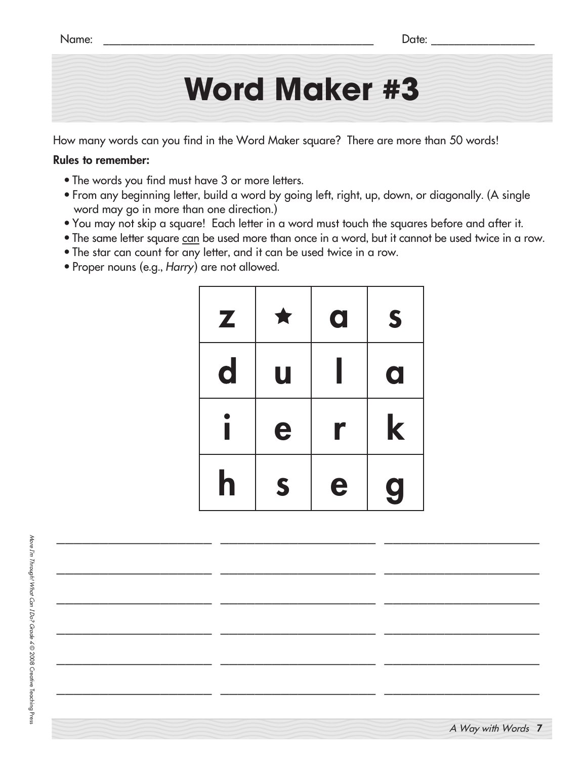# **Word Maker #3**

How many words can you find in the Word Maker square? There are more than 50 words!

### **Rules to remember:**

- The words you find must have 3 or more letters.
- From any beginning letter, build a word by going left, right, up, down, or diagonally. (A single word may go in more than one direction.)
- • You may not skip a square! Each letter in a word must touch the squares before and after it.
- The same letter square can be used more than once in a word, but it cannot be used twice in a row.
- The star can count for any letter, and it can be used twice in a row.
- • Proper nouns (e.g., *Harry*) are not allowed.

| Z | ★ | a | S           |
|---|---|---|-------------|
| d | U |   | a           |
|   | e | r | $\mathbf k$ |
| h | S | e | 9           |

\_\_\_\_\_\_\_\_\_\_\_\_\_\_\_\_\_\_ \_\_\_\_\_\_\_\_\_\_\_\_\_\_\_\_\_\_ \_\_\_\_\_\_\_\_\_\_\_\_\_\_\_\_\_\_

\_\_\_\_\_\_\_\_\_\_\_\_\_\_\_\_\_\_ \_\_\_\_\_\_\_\_\_\_\_\_\_\_\_\_\_\_ \_\_\_\_\_\_\_\_\_\_\_\_\_\_\_\_\_\_

\_\_\_\_\_\_\_\_\_\_\_\_\_\_\_\_\_\_ \_\_\_\_\_\_\_\_\_\_\_\_\_\_\_\_\_\_ \_\_\_\_\_\_\_\_\_\_\_\_\_\_\_\_\_\_

\_\_\_\_\_\_\_\_\_\_\_\_\_\_\_\_\_\_ \_\_\_\_\_\_\_\_\_\_\_\_\_\_\_\_\_\_ \_\_\_\_\_\_\_\_\_\_\_\_\_\_\_\_\_\_

\_\_\_\_\_\_\_\_\_\_\_\_\_\_\_\_\_\_ \_\_\_\_\_\_\_\_\_\_\_\_\_\_\_\_\_\_ \_\_\_\_\_\_\_\_\_\_\_\_\_\_\_\_\_\_

\_\_\_\_\_\_\_\_\_\_\_\_\_\_\_\_\_\_ \_\_\_\_\_\_\_\_\_\_\_\_\_\_\_\_\_\_ \_\_\_\_\_\_\_\_\_\_\_\_\_\_\_\_\_\_

A Way with Words